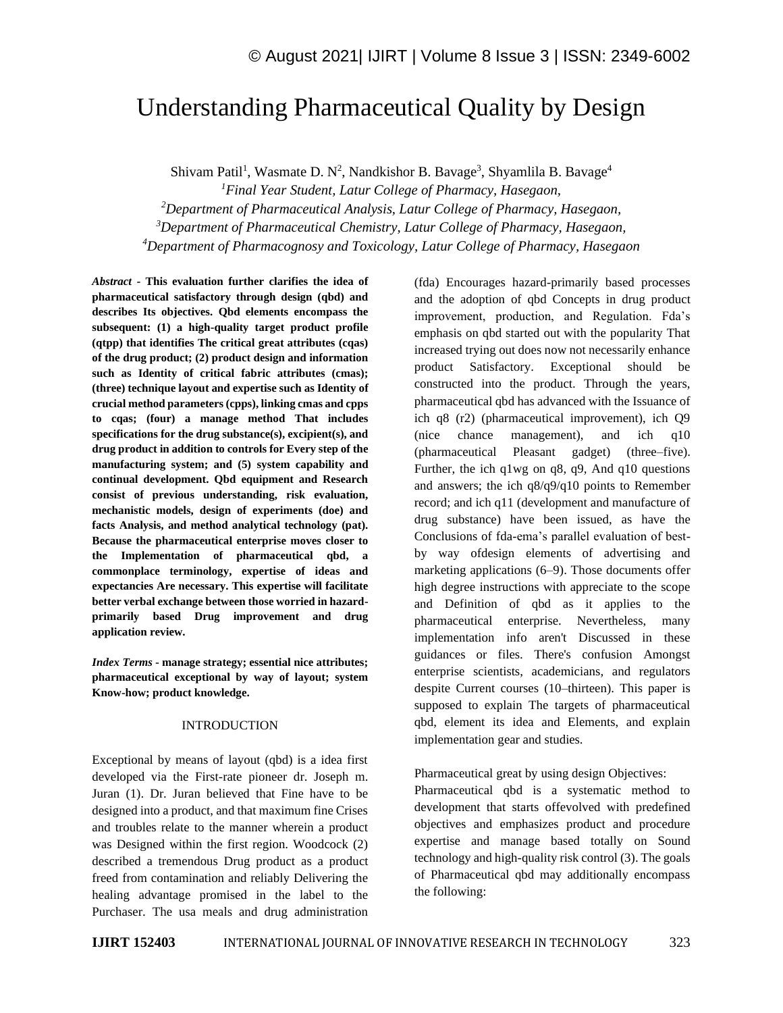# Understanding Pharmaceutical Quality by Design

Shivam Patil<sup>1</sup>, Wasmate D. N<sup>2</sup>, Nandkishor B. Bavage<sup>3</sup>, Shyamlila B. Bavage<sup>4</sup>

*<sup>1</sup>Final Year Student, Latur College of Pharmacy, Hasegaon, <sup>2</sup>Department of Pharmaceutical Analysis, Latur College of Pharmacy, Hasegaon,*

*<sup>3</sup>Department of Pharmaceutical Chemistry, Latur College of Pharmacy, Hasegaon,*

*<sup>4</sup>Department of Pharmacognosy and Toxicology, Latur College of Pharmacy, Hasegaon*

*Abstract -* **This evaluation further clarifies the idea of pharmaceutical satisfactory through design (qbd) and describes Its objectives. Qbd elements encompass the subsequent: (1) a high-quality target product profile (qtpp) that identifies The critical great attributes (cqas) of the drug product; (2) product design and information such as Identity of critical fabric attributes (cmas); (three) technique layout and expertise such as Identity of crucial method parameters (cpps), linking cmas and cpps to cqas; (four) a manage method That includes specifications for the drug substance(s), excipient(s), and drug product in addition to controls for Every step of the manufacturing system; and (5) system capability and continual development. Qbd equipment and Research consist of previous understanding, risk evaluation, mechanistic models, design of experiments (doe) and facts Analysis, and method analytical technology (pat). Because the pharmaceutical enterprise moves closer to the Implementation of pharmaceutical qbd, a commonplace terminology, expertise of ideas and expectancies Are necessary. This expertise will facilitate better verbal exchange between those worried in hazardprimarily based Drug improvement and drug application review.**

*Index Terms -* **manage strategy; essential nice attributes; pharmaceutical exceptional by way of layout; system Know-how; product knowledge.**

#### INTRODUCTION

Exceptional by means of layout (qbd) is a idea first developed via the First-rate pioneer dr. Joseph m. Juran (1). Dr. Juran believed that Fine have to be designed into a product, and that maximum fine Crises and troubles relate to the manner wherein a product was Designed within the first region. Woodcock (2) described a tremendous Drug product as a product freed from contamination and reliably Delivering the healing advantage promised in the label to the Purchaser. The usa meals and drug administration (fda) Encourages hazard-primarily based processes and the adoption of qbd Concepts in drug product improvement, production, and Regulation. Fda's emphasis on qbd started out with the popularity That increased trying out does now not necessarily enhance product Satisfactory. Exceptional should be constructed into the product. Through the years, pharmaceutical qbd has advanced with the Issuance of ich q8 (r2) (pharmaceutical improvement), ich Q9 (nice chance management), and ich q10 (pharmaceutical Pleasant gadget) (three–five). Further, the ich q1wg on q8, q9, And q10 questions and answers; the ich q8/q9/q10 points to Remember record; and ich q11 (development and manufacture of drug substance) have been issued, as have the Conclusions of fda-ema's parallel evaluation of bestby way ofdesign elements of advertising and marketing applications (6–9). Those documents offer high degree instructions with appreciate to the scope and Definition of qbd as it applies to the pharmaceutical enterprise. Nevertheless, many implementation info aren't Discussed in these guidances or files. There's confusion Amongst enterprise scientists, academicians, and regulators despite Current courses (10–thirteen). This paper is supposed to explain The targets of pharmaceutical qbd, element its idea and Elements, and explain implementation gear and studies.

## Pharmaceutical great by using design Objectives:

Pharmaceutical qbd is a systematic method to development that starts offevolved with predefined objectives and emphasizes product and procedure expertise and manage based totally on Sound technology and high-quality risk control (3). The goals of Pharmaceutical qbd may additionally encompass the following: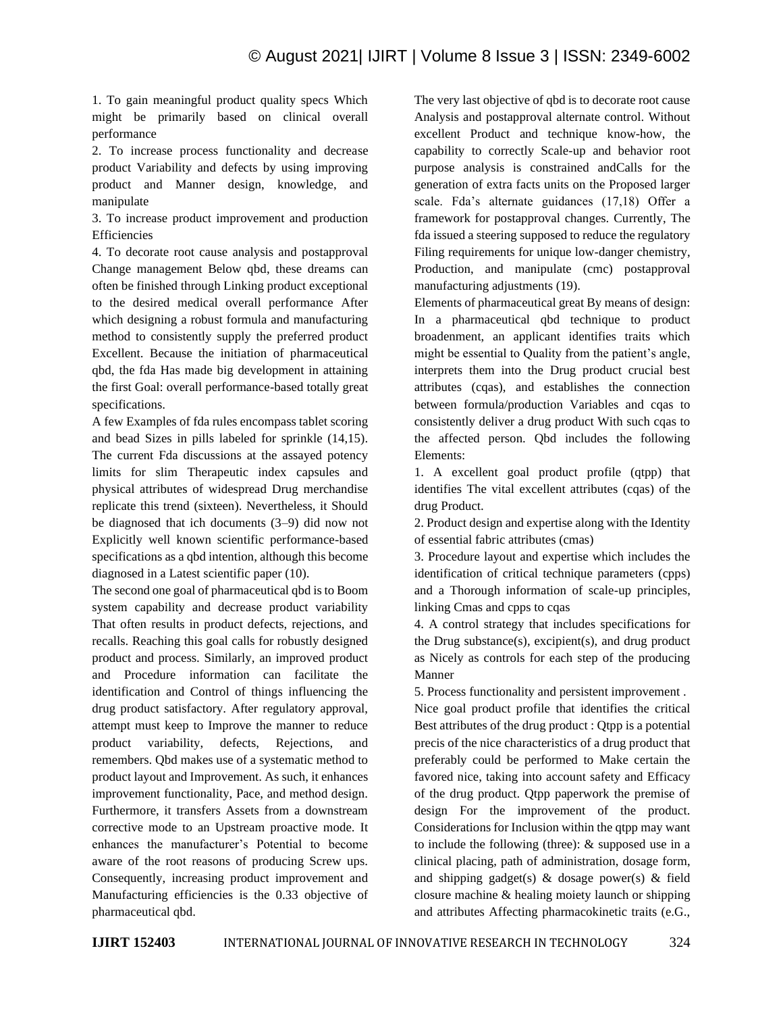1. To gain meaningful product quality specs Which might be primarily based on clinical overall performance

2. To increase process functionality and decrease product Variability and defects by using improving product and Manner design, knowledge, and manipulate

3. To increase product improvement and production Efficiencies

4. To decorate root cause analysis and postapproval Change management Below qbd, these dreams can often be finished through Linking product exceptional to the desired medical overall performance After which designing a robust formula and manufacturing method to consistently supply the preferred product Excellent. Because the initiation of pharmaceutical qbd, the fda Has made big development in attaining the first Goal: overall performance-based totally great specifications.

A few Examples of fda rules encompass tablet scoring and bead Sizes in pills labeled for sprinkle (14,15). The current Fda discussions at the assayed potency limits for slim Therapeutic index capsules and physical attributes of widespread Drug merchandise replicate this trend (sixteen). Nevertheless, it Should be diagnosed that ich documents (3–9) did now not Explicitly well known scientific performance-based specifications as a qbd intention, although this become diagnosed in a Latest scientific paper (10).

The second one goal of pharmaceutical qbd is to Boom system capability and decrease product variability That often results in product defects, rejections, and recalls. Reaching this goal calls for robustly designed product and process. Similarly, an improved product and Procedure information can facilitate the identification and Control of things influencing the drug product satisfactory. After regulatory approval, attempt must keep to Improve the manner to reduce product variability, defects, Rejections, and remembers. Qbd makes use of a systematic method to product layout and Improvement. As such, it enhances improvement functionality, Pace, and method design. Furthermore, it transfers Assets from a downstream corrective mode to an Upstream proactive mode. It enhances the manufacturer's Potential to become aware of the root reasons of producing Screw ups. Consequently, increasing product improvement and Manufacturing efficiencies is the 0.33 objective of pharmaceutical qbd.

The very last objective of qbd is to decorate root cause Analysis and postapproval alternate control. Without excellent Product and technique know-how, the capability to correctly Scale-up and behavior root purpose analysis is constrained andCalls for the generation of extra facts units on the Proposed larger scale. Fda's alternate guidances (17,18) Offer a framework for postapproval changes. Currently, The fda issued a steering supposed to reduce the regulatory Filing requirements for unique low-danger chemistry, Production, and manipulate (cmc) postapproval manufacturing adjustments (19).

Elements of pharmaceutical great By means of design: In a pharmaceutical qbd technique to product broadenment, an applicant identifies traits which might be essential to Quality from the patient's angle, interprets them into the Drug product crucial best attributes (cqas), and establishes the connection between formula/production Variables and cqas to consistently deliver a drug product With such cqas to the affected person. Qbd includes the following Elements:

1. A excellent goal product profile (qtpp) that identifies The vital excellent attributes (cqas) of the drug Product.

2. Product design and expertise along with the Identity of essential fabric attributes (cmas)

3. Procedure layout and expertise which includes the identification of critical technique parameters (cpps) and a Thorough information of scale-up principles, linking Cmas and cpps to cqas

4. A control strategy that includes specifications for the Drug substance(s), excipient(s), and drug product as Nicely as controls for each step of the producing Manner

5. Process functionality and persistent improvement .

Nice goal product profile that identifies the critical Best attributes of the drug product : Qtpp is a potential precis of the nice characteristics of a drug product that preferably could be performed to Make certain the favored nice, taking into account safety and Efficacy of the drug product. Qtpp paperwork the premise of design For the improvement of the product. Considerations for Inclusion within the qtpp may want to include the following (three): & supposed use in a clinical placing, path of administration, dosage form, and shipping gadget(s) & dosage power(s) & field closure machine & healing moiety launch or shipping and attributes Affecting pharmacokinetic traits (e.G.,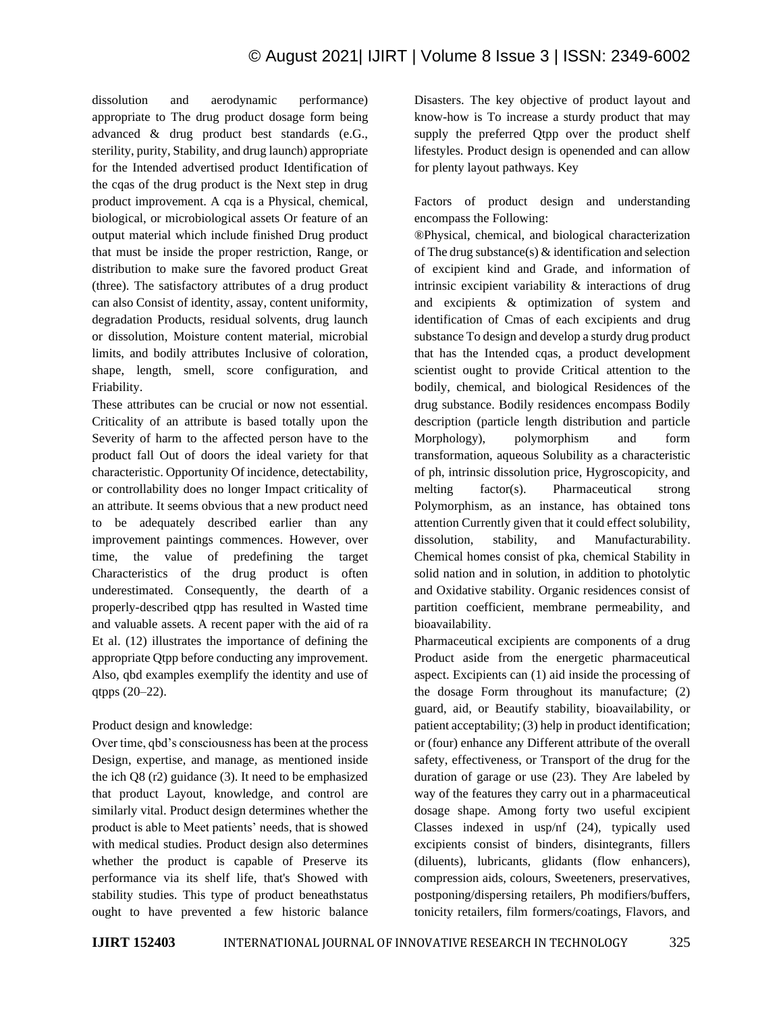dissolution and aerodynamic performance) appropriate to The drug product dosage form being advanced & drug product best standards (e.G., sterility, purity, Stability, and drug launch) appropriate for the Intended advertised product Identification of the cqas of the drug product is the Next step in drug product improvement. A cqa is a Physical, chemical, biological, or microbiological assets Or feature of an output material which include finished Drug product that must be inside the proper restriction, Range, or distribution to make sure the favored product Great (three). The satisfactory attributes of a drug product can also Consist of identity, assay, content uniformity, degradation Products, residual solvents, drug launch or dissolution, Moisture content material, microbial limits, and bodily attributes Inclusive of coloration, shape, length, smell, score configuration, and Friability.

These attributes can be crucial or now not essential. Criticality of an attribute is based totally upon the Severity of harm to the affected person have to the product fall Out of doors the ideal variety for that characteristic. Opportunity Of incidence, detectability, or controllability does no longer Impact criticality of an attribute. It seems obvious that a new product need to be adequately described earlier than any improvement paintings commences. However, over time, the value of predefining the target Characteristics of the drug product is often underestimated. Consequently, the dearth of a properly-described qtpp has resulted in Wasted time and valuable assets. A recent paper with the aid of ra Et al. (12) illustrates the importance of defining the appropriate Qtpp before conducting any improvement. Also, qbd examples exemplify the identity and use of qtpps (20–22).

## Product design and knowledge:

Over time, qbd's consciousness has been at the process Design, expertise, and manage, as mentioned inside the ich Q8 (r2) guidance (3). It need to be emphasized that product Layout, knowledge, and control are similarly vital. Product design determines whether the product is able to Meet patients' needs, that is showed with medical studies. Product design also determines whether the product is capable of Preserve its performance via its shelf life, that's Showed with stability studies. This type of product beneathstatus ought to have prevented a few historic balance Disasters. The key objective of product layout and know-how is To increase a sturdy product that may supply the preferred Qtpp over the product shelf lifestyles. Product design is openended and can allow for plenty layout pathways. Key

Factors of product design and understanding encompass the Following:

®Physical, chemical, and biological characterization of The drug substance(s) & identification and selection of excipient kind and Grade, and information of intrinsic excipient variability & interactions of drug and excipients & optimization of system and identification of Cmas of each excipients and drug substance To design and develop a sturdy drug product that has the Intended cqas, a product development scientist ought to provide Critical attention to the bodily, chemical, and biological Residences of the drug substance. Bodily residences encompass Bodily description (particle length distribution and particle Morphology), polymorphism and form transformation, aqueous Solubility as a characteristic of ph, intrinsic dissolution price, Hygroscopicity, and melting factor(s). Pharmaceutical strong Polymorphism, as an instance, has obtained tons attention Currently given that it could effect solubility, dissolution, stability, and Manufacturability. Chemical homes consist of pka, chemical Stability in solid nation and in solution, in addition to photolytic and Oxidative stability. Organic residences consist of partition coefficient, membrane permeability, and bioavailability.

Pharmaceutical excipients are components of a drug Product aside from the energetic pharmaceutical aspect. Excipients can (1) aid inside the processing of the dosage Form throughout its manufacture; (2) guard, aid, or Beautify stability, bioavailability, or patient acceptability; (3) help in product identification; or (four) enhance any Different attribute of the overall safety, effectiveness, or Transport of the drug for the duration of garage or use (23). They Are labeled by way of the features they carry out in a pharmaceutical dosage shape. Among forty two useful excipient Classes indexed in usp/nf (24), typically used excipients consist of binders, disintegrants, fillers (diluents), lubricants, glidants (flow enhancers), compression aids, colours, Sweeteners, preservatives, postponing/dispersing retailers, Ph modifiers/buffers, tonicity retailers, film formers/coatings, Flavors, and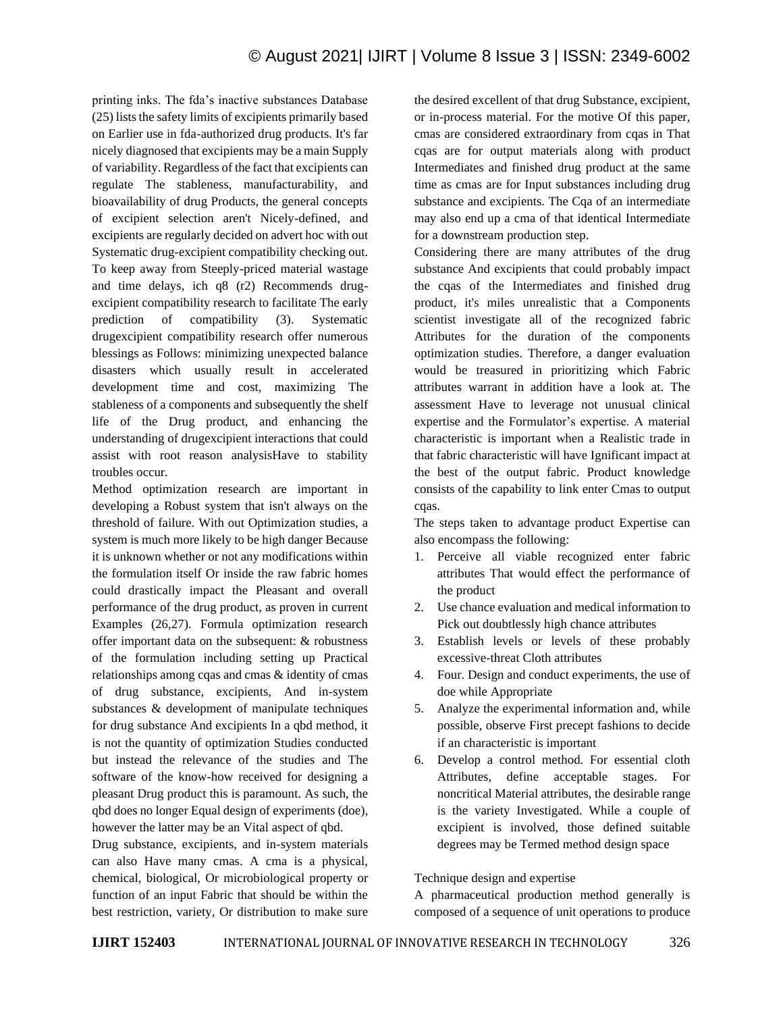printing inks. The fda's inactive substances Database (25) lists the safety limits of excipients primarily based on Earlier use in fda-authorized drug products. It's far nicely diagnosed that excipients may be a main Supply of variability. Regardless of the fact that excipients can regulate The stableness, manufacturability, and bioavailability of drug Products, the general concepts of excipient selection aren't Nicely-defined, and excipients are regularly decided on advert hoc with out Systematic drug-excipient compatibility checking out. To keep away from Steeply-priced material wastage and time delays, ich q8 (r2) Recommends drugexcipient compatibility research to facilitate The early prediction of compatibility (3). Systematic drugexcipient compatibility research offer numerous blessings as Follows: minimizing unexpected balance disasters which usually result in accelerated development time and cost, maximizing The stableness of a components and subsequently the shelf life of the Drug product, and enhancing the understanding of drugexcipient interactions that could assist with root reason analysisHave to stability troubles occur.

Method optimization research are important in developing a Robust system that isn't always on the threshold of failure. With out Optimization studies, a system is much more likely to be high danger Because it is unknown whether or not any modifications within the formulation itself Or inside the raw fabric homes could drastically impact the Pleasant and overall performance of the drug product, as proven in current Examples (26,27). Formula optimization research offer important data on the subsequent: & robustness of the formulation including setting up Practical relationships among cqas and cmas & identity of cmas of drug substance, excipients, And in-system substances & development of manipulate techniques for drug substance And excipients In a qbd method, it is not the quantity of optimization Studies conducted but instead the relevance of the studies and The software of the know-how received for designing a pleasant Drug product this is paramount. As such, the qbd does no longer Equal design of experiments (doe), however the latter may be an Vital aspect of qbd.

Drug substance, excipients, and in-system materials can also Have many cmas. A cma is a physical, chemical, biological, Or microbiological property or function of an input Fabric that should be within the best restriction, variety, Or distribution to make sure the desired excellent of that drug Substance, excipient, or in-process material. For the motive Of this paper, cmas are considered extraordinary from cqas in That cqas are for output materials along with product Intermediates and finished drug product at the same time as cmas are for Input substances including drug substance and excipients. The Cqa of an intermediate may also end up a cma of that identical Intermediate for a downstream production step.

Considering there are many attributes of the drug substance And excipients that could probably impact the cqas of the Intermediates and finished drug product, it's miles unrealistic that a Components scientist investigate all of the recognized fabric Attributes for the duration of the components optimization studies. Therefore, a danger evaluation would be treasured in prioritizing which Fabric attributes warrant in addition have a look at. The assessment Have to leverage not unusual clinical expertise and the Formulator's expertise. A material characteristic is important when a Realistic trade in that fabric characteristic will have Ignificant impact at the best of the output fabric. Product knowledge consists of the capability to link enter Cmas to output cqas.

The steps taken to advantage product Expertise can also encompass the following:

- 1. Perceive all viable recognized enter fabric attributes That would effect the performance of the product
- 2. Use chance evaluation and medical information to Pick out doubtlessly high chance attributes
- 3. Establish levels or levels of these probably excessive-threat Cloth attributes
- 4. Four. Design and conduct experiments, the use of doe while Appropriate
- 5. Analyze the experimental information and, while possible, observe First precept fashions to decide if an characteristic is important
- 6. Develop a control method. For essential cloth Attributes, define acceptable stages. For noncritical Material attributes, the desirable range is the variety Investigated. While a couple of excipient is involved, those defined suitable degrees may be Termed method design space

## Technique design and expertise

A pharmaceutical production method generally is composed of a sequence of unit operations to produce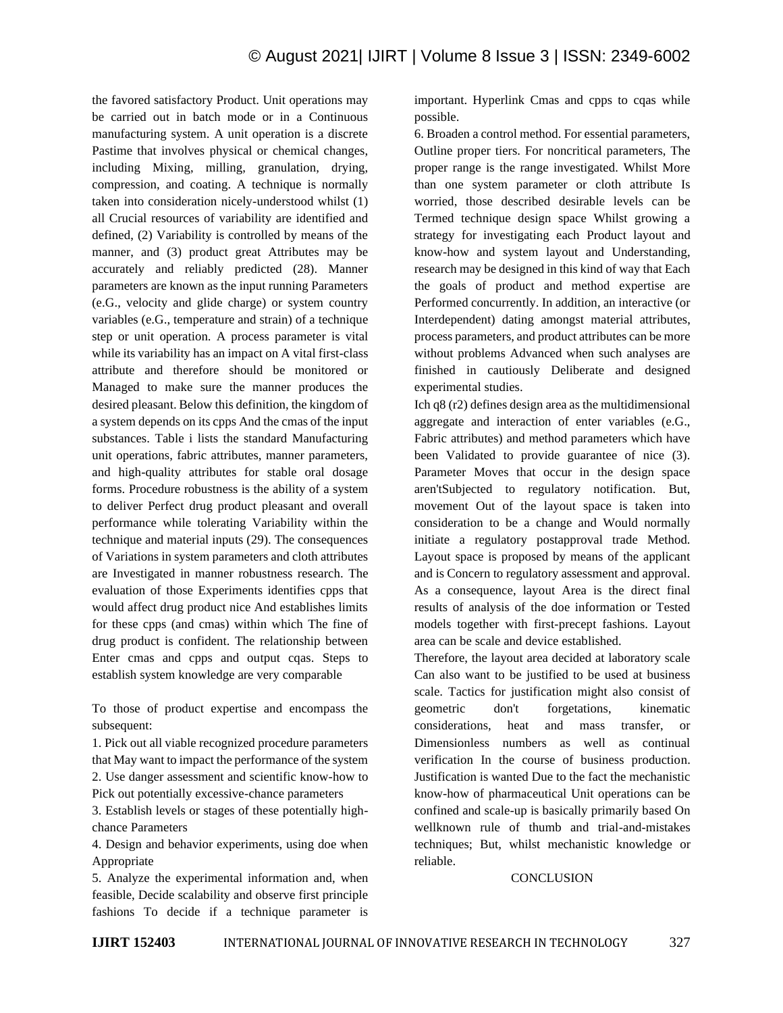the favored satisfactory Product. Unit operations may be carried out in batch mode or in a Continuous manufacturing system. A unit operation is a discrete Pastime that involves physical or chemical changes, including Mixing, milling, granulation, drying, compression, and coating. A technique is normally taken into consideration nicely-understood whilst (1) all Crucial resources of variability are identified and defined, (2) Variability is controlled by means of the manner, and (3) product great Attributes may be accurately and reliably predicted (28). Manner parameters are known as the input running Parameters (e.G., velocity and glide charge) or system country variables (e.G., temperature and strain) of a technique step or unit operation. A process parameter is vital while its variability has an impact on A vital first-class attribute and therefore should be monitored or Managed to make sure the manner produces the desired pleasant. Below this definition, the kingdom of a system depends on its cpps And the cmas of the input substances. Table i lists the standard Manufacturing unit operations, fabric attributes, manner parameters, and high-quality attributes for stable oral dosage forms. Procedure robustness is the ability of a system to deliver Perfect drug product pleasant and overall performance while tolerating Variability within the technique and material inputs (29). The consequences of Variations in system parameters and cloth attributes are Investigated in manner robustness research. The evaluation of those Experiments identifies cpps that would affect drug product nice And establishes limits for these cpps (and cmas) within which The fine of drug product is confident. The relationship between Enter cmas and cpps and output cqas. Steps to establish system knowledge are very comparable

To those of product expertise and encompass the subsequent:

1. Pick out all viable recognized procedure parameters that May want to impact the performance of the system 2. Use danger assessment and scientific know-how to Pick out potentially excessive-chance parameters

3. Establish levels or stages of these potentially highchance Parameters

4. Design and behavior experiments, using doe when Appropriate

5. Analyze the experimental information and, when feasible, Decide scalability and observe first principle fashions To decide if a technique parameter is important. Hyperlink Cmas and cpps to cqas while possible.

6. Broaden a control method. For essential parameters, Outline proper tiers. For noncritical parameters, The proper range is the range investigated. Whilst More than one system parameter or cloth attribute Is worried, those described desirable levels can be Termed technique design space Whilst growing a strategy for investigating each Product layout and know-how and system layout and Understanding, research may be designed in this kind of way that Each the goals of product and method expertise are Performed concurrently. In addition, an interactive (or Interdependent) dating amongst material attributes, process parameters, and product attributes can be more without problems Advanced when such analyses are finished in cautiously Deliberate and designed experimental studies.

Ich q8 (r2) defines design area as the multidimensional aggregate and interaction of enter variables (e.G., Fabric attributes) and method parameters which have been Validated to provide guarantee of nice (3). Parameter Moves that occur in the design space aren'tSubjected to regulatory notification. But, movement Out of the layout space is taken into consideration to be a change and Would normally initiate a regulatory postapproval trade Method. Layout space is proposed by means of the applicant and is Concern to regulatory assessment and approval. As a consequence, layout Area is the direct final results of analysis of the doe information or Tested models together with first-precept fashions. Layout area can be scale and device established.

Therefore, the layout area decided at laboratory scale Can also want to be justified to be used at business scale. Tactics for justification might also consist of geometric don't forgetations, kinematic considerations, heat and mass transfer, or Dimensionless numbers as well as continual verification In the course of business production. Justification is wanted Due to the fact the mechanistic know-how of pharmaceutical Unit operations can be confined and scale-up is basically primarily based On wellknown rule of thumb and trial-and-mistakes techniques; But, whilst mechanistic knowledge or reliable.

#### **CONCLUSION**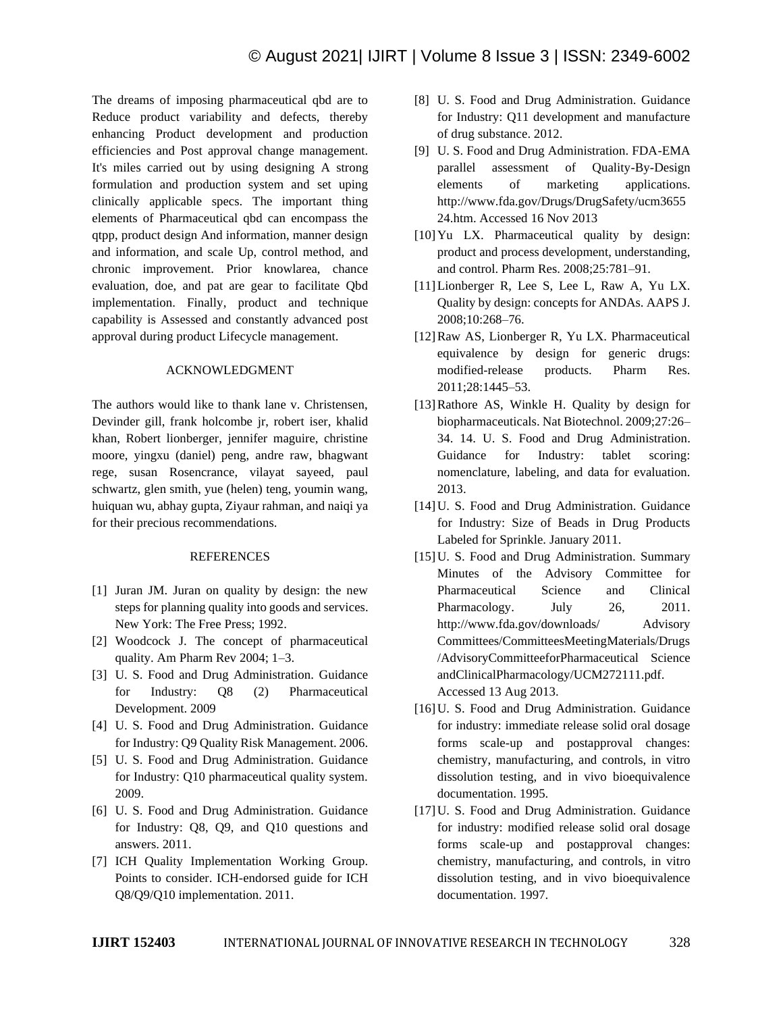The dreams of imposing pharmaceutical qbd are to Reduce product variability and defects, thereby enhancing Product development and production efficiencies and Post approval change management. It's miles carried out by using designing A strong formulation and production system and set uping clinically applicable specs. The important thing elements of Pharmaceutical qbd can encompass the qtpp, product design And information, manner design and information, and scale Up, control method, and chronic improvement. Prior knowlarea, chance evaluation, doe, and pat are gear to facilitate Qbd implementation. Finally, product and technique capability is Assessed and constantly advanced post approval during product Lifecycle management.

#### ACKNOWLEDGMENT

The authors would like to thank lane v. Christensen, Devinder gill, frank holcombe jr, robert iser, khalid khan, Robert lionberger, jennifer maguire, christine moore, yingxu (daniel) peng, andre raw, bhagwant rege, susan Rosencrance, vilayat sayeed, paul schwartz, glen smith, yue (helen) teng, youmin wang, huiquan wu, abhay gupta, Ziyaur rahman, and naiqi ya for their precious recommendations.

## **REFERENCES**

- [1] Juran JM. Juran on quality by design: the new steps for planning quality into goods and services. New York: The Free Press; 1992.
- [2] Woodcock J. The concept of pharmaceutical quality. Am Pharm Rev 2004; 1–3.
- [3] U. S. Food and Drug Administration. Guidance for Industry: Q8 (2) Pharmaceutical Development. 2009
- [4] U. S. Food and Drug Administration. Guidance for Industry: Q9 Quality Risk Management. 2006.
- [5] U. S. Food and Drug Administration. Guidance for Industry: Q10 pharmaceutical quality system. 2009.
- [6] U. S. Food and Drug Administration. Guidance for Industry: Q8, Q9, and Q10 questions and answers. 2011.
- [7] ICH Quality Implementation Working Group. Points to consider. ICH-endorsed guide for ICH Q8/Q9/Q10 implementation. 2011.
- [8] U. S. Food and Drug Administration. Guidance for Industry: Q11 development and manufacture of drug substance. 2012.
- [9] U. S. Food and Drug Administration. FDA-EMA parallel assessment of Quality-By-Design elements of marketing applications. http://www.fda.gov/Drugs/DrugSafety/ucm3655 24.htm. Accessed 16 Nov 2013
- [10] Yu LX. Pharmaceutical quality by design: product and process development, understanding, and control. Pharm Res. 2008;25:781–91.
- [11]Lionberger R, Lee S, Lee L, Raw A, Yu LX. Quality by design: concepts for ANDAs. AAPS J. 2008;10:268–76.
- [12]Raw AS, Lionberger R, Yu LX. Pharmaceutical equivalence by design for generic drugs: modified-release products. Pharm Res. 2011;28:1445–53.
- [13] Rathore AS, Winkle H. Quality by design for biopharmaceuticals. Nat Biotechnol. 2009;27:26– 34. 14. U. S. Food and Drug Administration. Guidance for Industry: tablet scoring: nomenclature, labeling, and data for evaluation. 2013.
- [14] U. S. Food and Drug Administration. Guidance for Industry: Size of Beads in Drug Products Labeled for Sprinkle. January 2011.
- [15] U. S. Food and Drug Administration. Summary Minutes of the Advisory Committee for Pharmaceutical Science and Clinical Pharmacology. July 26, 2011. http://www.fda.gov/downloads/ Advisory Committees/CommitteesMeetingMaterials/Drugs /AdvisoryCommitteeforPharmaceutical Science andClinicalPharmacology/UCM272111.pdf. Accessed 13 Aug 2013.
- [16] U. S. Food and Drug Administration. Guidance for industry: immediate release solid oral dosage forms scale-up and postapproval changes: chemistry, manufacturing, and controls, in vitro dissolution testing, and in vivo bioequivalence documentation. 1995.
- [17]U. S. Food and Drug Administration. Guidance for industry: modified release solid oral dosage forms scale-up and postapproval changes: chemistry, manufacturing, and controls, in vitro dissolution testing, and in vivo bioequivalence documentation. 1997.